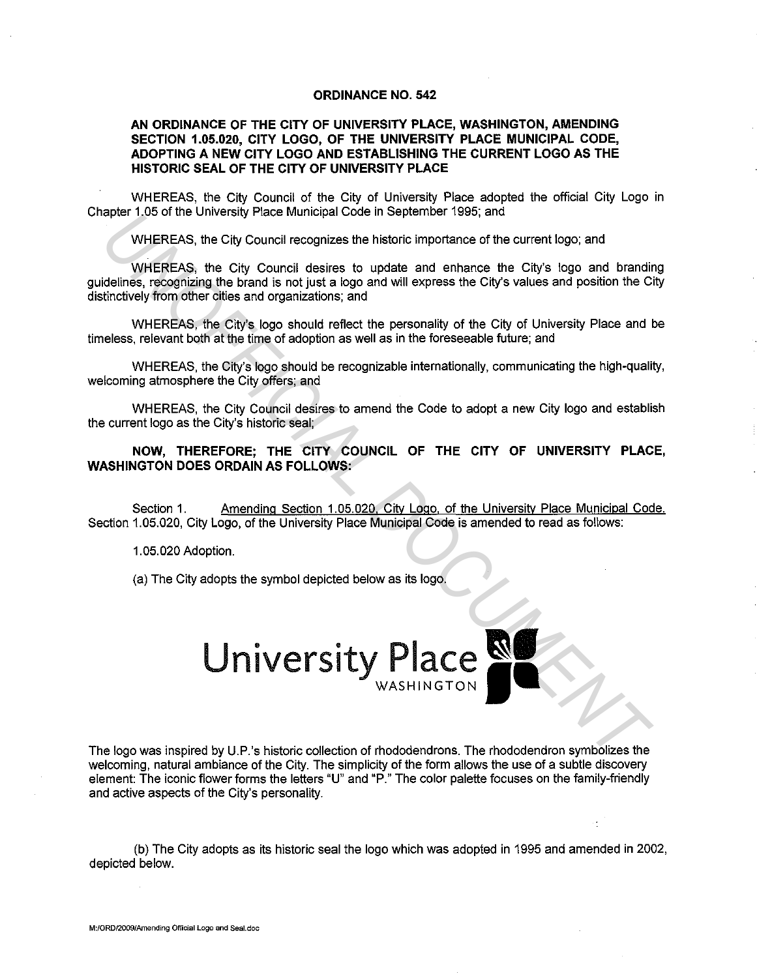## **ORDINANCE NO. 542**

## **AN ORDINANCE OF THE CITY OF UNIVERSITY PLACE, WASHINGTON, AMENDING SECTION 1.05.020, CITY LOGO, OF THE UNIVERSITY PLACE MUNICIPAL CODE, ADOPTING A NEW CITY LOGO AND ESTABLISHING THE CURRENT LOGO AS THE HISTORIC SEAL OF THE CITY OF UNIVERSITY PLACE**

WHEREAS, the City Council of the City of University Place adopted the official City Logo in Chapter 1.05 of the University Place Municipal Code in September 1995; and

WHEREAS, the City Council recognizes the historic importance of the current logo; and

WHEREAS, the City Council desires to update and enhance the City's logo and branding guidelines, recognizing the brand is not just a logo and will express the City's values and position the City distinctively from other cities and organizations; and

WHEREAS, the City's logo should reflect the personality of the City of University Place and be timeless, relevant both at the time of adoption as well as in the foreseeable future; and

WHEREAS, the City's logo should be recognizable internationally, communicating the high-quality, welcoming atmosphere the City offers; and

WHEREAS, the City Council desires to amend the Code to adopt a new City logo and establish the current logo as the City's historic seal;

**NOW, THEREFORE; THE CITY COUNCIL OF THE CITY OF UNIVERSITY PLACE, WASHINGTON DOES ORDAIN AS FOLLOWS:** 

Section 1. Amending Section 1.05.020. City Logo. of the University Place Municipal Code. Section 1.05.020, City Logo, of the University Place Municipal Code is amended to read as follows:

1.05.020 Adoption.

(a) The City adopts the symbol depicted below as its logo.

**EXPRESS, the City Council desires to installate the historic model and the current logo; and WHEREAS, the City Council desires to update and enhance the City's values and position of the UNOFFICIAL DECAL DURIES in City Co** 

The logo was inspired by U.P.'s historic collection of rhododendrons. The rhododendron symbolizes the welcoming, natural ambiance of the City. The simplicity of the form allows the use of a subtle discovery element: The iconic flower forms the letters "U" and "P." The color palette focuses on the family-friendly and active aspects of the City's personality.

(b) The City adopts as its historic seal the logo which was adopted in 1995 and amended in 2002, depicted below.